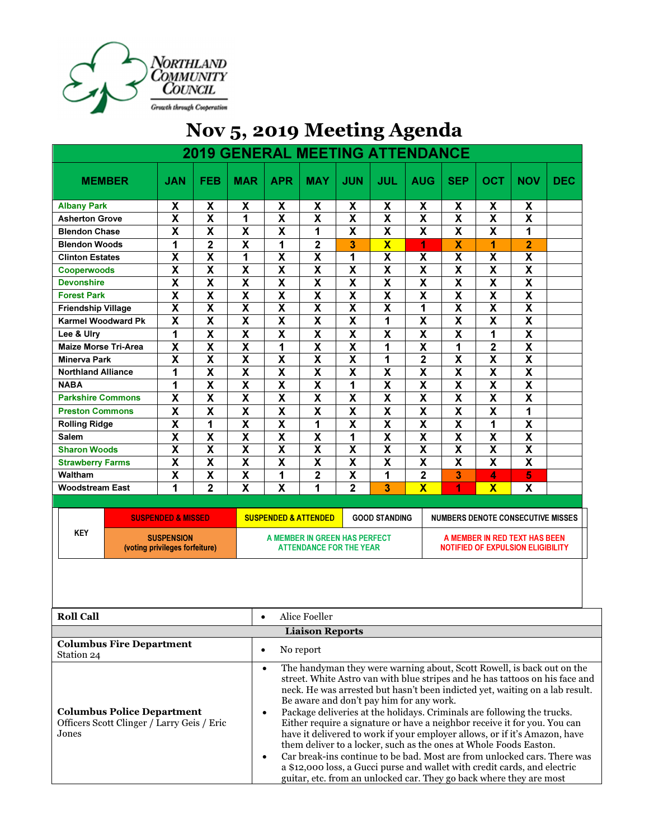

|                             |                         |                           | <b>2019 GENERAL MEETING ATTENDANCE</b> |                         |                           |                         |                         |                           |                         |                         |                         |            |
|-----------------------------|-------------------------|---------------------------|----------------------------------------|-------------------------|---------------------------|-------------------------|-------------------------|---------------------------|-------------------------|-------------------------|-------------------------|------------|
| <b>MEMBER</b>               | <b>JAN</b>              | <b>FEB</b>                | <b>MAR</b>                             | <b>APR</b>              | <b>MAY</b>                | <b>JUN</b>              | JUL                     | <b>AUG</b>                | <b>SEP</b>              | OCT                     | <b>NOV</b>              | <b>DEC</b> |
| <b>Albany Park</b>          | X                       | $\boldsymbol{\mathsf{X}}$ | X                                      | X                       | X                         | X                       | X                       | $\boldsymbol{\mathsf{X}}$ | X                       | X                       | X                       |            |
| <b>Asherton Grove</b>       | $\overline{\mathsf{x}}$ | $\overline{\mathsf{x}}$   | 1                                      | $\overline{\mathsf{x}}$ | $\overline{\mathbf{x}}$   | $\overline{\mathsf{x}}$ | $\overline{\mathsf{x}}$ | X                         | $\overline{\mathsf{x}}$ | $\overline{\mathsf{x}}$ | $\overline{\mathsf{x}}$ |            |
| <b>Blendon Chase</b>        | X                       | X                         | X                                      | X                       | 1                         | X                       | X                       | X                         | X                       | X                       | 1                       |            |
| <b>Blendon Woods</b>        | 1                       | $\overline{\mathbf{2}}$   | $\overline{\textbf{x}}$                | 1                       | $\overline{\mathbf{2}}$   | 3                       | $\overline{\textbf{x}}$ | 1                         | $\overline{\textbf{X}}$ | 1                       | $\overline{2}$          |            |
| <b>Clinton Estates</b>      | X                       | $\overline{\mathsf{x}}$   | 1                                      | $\overline{\mathsf{x}}$ | $\overline{\mathbf{x}}$   | 1                       | X                       | X                         | X                       | X                       | X                       |            |
| <b>Cooperwoods</b>          | $\overline{\mathsf{x}}$ | $\overline{\mathsf{x}}$   | $\overline{\mathsf{x}}$                | $\overline{\mathbf{X}}$ | $\overline{\mathbf{X}}$   | $\overline{\mathsf{x}}$ | $\overline{\mathsf{x}}$ | X                         | $\overline{\mathsf{x}}$ | $\overline{\mathbf{x}}$ | $\overline{\mathbf{X}}$ |            |
| <b>Devonshire</b>           | X                       | X                         | X                                      | X                       | X                         | X                       | X                       | X                         | X                       | X                       | X                       |            |
| <b>Forest Park</b>          | $\overline{\mathsf{x}}$ | $\overline{\mathsf{x}}$   | $\overline{\textsf{x}}$                | $\overline{\mathsf{x}}$ | $\overline{\mathbf{X}}$   | $\overline{\mathsf{x}}$ | $\overline{\textsf{x}}$ | $\overline{\mathsf{x}}$   | $\overline{\textsf{x}}$ | $\overline{\mathsf{x}}$ | $\overline{\mathsf{x}}$ |            |
| <b>Friendship Village</b>   | $\overline{\mathsf{x}}$ | $\overline{\mathsf{x}}$   | X                                      | X                       | $\overline{\mathbf{X}}$   | $\overline{\mathsf{x}}$ | X                       | 1                         | $\overline{\textsf{x}}$ | X                       | $\overline{\mathsf{x}}$ |            |
| <b>Karmel Woodward Pk</b>   | X                       | X                         | X                                      | $\overline{\mathbf{X}}$ | X                         | X                       | 1                       | X                         | X                       | X                       | X                       |            |
| Lee & Ulry                  | 1                       | $\overline{\mathsf{x}}$   | $\overline{\mathsf{x}}$                | $\overline{\mathsf{x}}$ | $\overline{\mathsf{x}}$   | $\overline{\mathsf{x}}$ | $\overline{\textsf{x}}$ | $\overline{\mathbf{X}}$   | $\overline{\textsf{x}}$ | 1                       | $\overline{\mathsf{x}}$ |            |
| <b>Maize Morse Tri-Area</b> | $\overline{\mathsf{x}}$ | $\overline{\mathbf{X}}$   | $\overline{\mathsf{x}}$                | 1                       | X                         | $\overline{\mathsf{x}}$ | 1                       | X                         | 1                       | $\overline{2}$          | X                       |            |
| <b>Minerva Park</b>         | X                       | X                         | X                                      | X                       | X                         | X                       | 1                       | $\overline{\mathbf{2}}$   | X                       | X                       | $\overline{\mathsf{x}}$ |            |
| <b>Northland Alliance</b>   | 1                       | X                         | $\overline{\mathsf{x}}$                | X                       | X                         | X                       | X                       | X                         | X                       | X                       | $\overline{\mathsf{x}}$ |            |
| <b>NABA</b>                 | 1                       | $\overline{\textbf{x}}$   | $\overline{\textsf{x}}$                | $\overline{\mathbf{X}}$ | $\overline{\mathbf{X}}$   | 1                       | $\overline{\textsf{x}}$ | $\overline{\mathbf{x}}$   | $\overline{\textsf{x}}$ | $\overline{\textbf{x}}$ | $\overline{\mathsf{x}}$ |            |
| <b>Parkshire Commons</b>    | X                       | X                         | X                                      | X                       | $\mathsf{x}$              | X                       | X                       | X                         | X                       | X                       | X                       |            |
| <b>Preston Commons</b>      | X                       | $\boldsymbol{\mathsf{X}}$ | X                                      | X                       | $\boldsymbol{\mathsf{x}}$ | X                       | X                       | X                         | X                       | X                       | 1                       |            |
| <b>Rolling Ridge</b>        | X                       | 1                         | X                                      | X                       | 1                         | X                       | X                       | X                         | X                       | 1                       | X                       |            |
| <b>Salem</b>                | X                       | X                         | $\overline{\mathsf{x}}$                | X                       | X                         | 1                       | X                       | X                         | X                       | X                       | X                       |            |
| <b>Sharon Woods</b>         | $\overline{\mathbf{x}}$ | $\overline{\mathbf{x}}$   | $\overline{\textbf{x}}$                | $\overline{\mathbf{X}}$ | $\overline{\mathbf{X}}$   | $\overline{\mathbf{X}}$ | $\overline{\textbf{x}}$ | $\overline{\mathbf{x}}$   | $\overline{\textsf{x}}$ | $\overline{\mathbf{x}}$ | $\overline{\mathbf{X}}$ |            |
| <b>Strawberry Farms</b>     | $\overline{\mathsf{x}}$ | $\overline{\mathbf{X}}$   | $\overline{\mathsf{x}}$                | $\overline{\mathsf{x}}$ | $\overline{\mathbf{x}}$   | $\overline{\mathsf{x}}$ | $\overline{\textsf{x}}$ | $\overline{\mathbf{X}}$   | $\overline{\mathbf{x}}$ | $\overline{\mathsf{x}}$ | $\overline{\mathsf{x}}$ |            |
| Waltham                     | X                       | X                         | X                                      | 1                       | 2                         | $\overline{\mathbf{X}}$ | 1                       | $\overline{\mathbf{2}}$   | 3                       | 4                       | 5                       |            |
| <b>Woodstream East</b>      | 1                       | $\overline{2}$            | $\overline{\textsf{x}}$                | $\overline{\mathsf{x}}$ | 1                         | $\overline{2}$          | 3                       | $\overline{\mathbf{X}}$   | 1                       | $\overline{\mathbf{X}}$ | $\overline{\mathsf{x}}$ |            |
| П                           |                         |                           |                                        |                         |                           |                         |                         |                           |                         |                         |                         |            |

## Nov 5, 2019 Meeting Agenda

|     | <b>SUSPENDED &amp; MISSED \</b>                     | <b>GOOD STANDING</b><br><b>SUSPENDED &amp; ATTENDED</b>  |  | NUMBERS DENOTE CONSECUTIVE MISSES                                  |  |  |
|-----|-----------------------------------------------------|----------------------------------------------------------|--|--------------------------------------------------------------------|--|--|
| KEY | <b>SUSPENSION</b><br>(voting privileges forfeiture) | A MEMBER IN GREEN HAS PERFECT<br>ATTENDANCE FOR THE YEAR |  | A MEMBER IN RED TEXT HAS BEEN<br>NOTIFIED OF EXPULSION ELIGIBILITY |  |  |

| <b>Roll Call</b>                                                                                |  |  |  |  |  |
|-------------------------------------------------------------------------------------------------|--|--|--|--|--|
| <b>Liaison Reports</b>                                                                          |  |  |  |  |  |
| <b>Columbus Fire Department</b><br>Station 24                                                   |  |  |  |  |  |
| <b>Columbus Police Department</b><br>Officers Scott Clinger / Larry Geis / Eric<br><b>Jones</b> |  |  |  |  |  |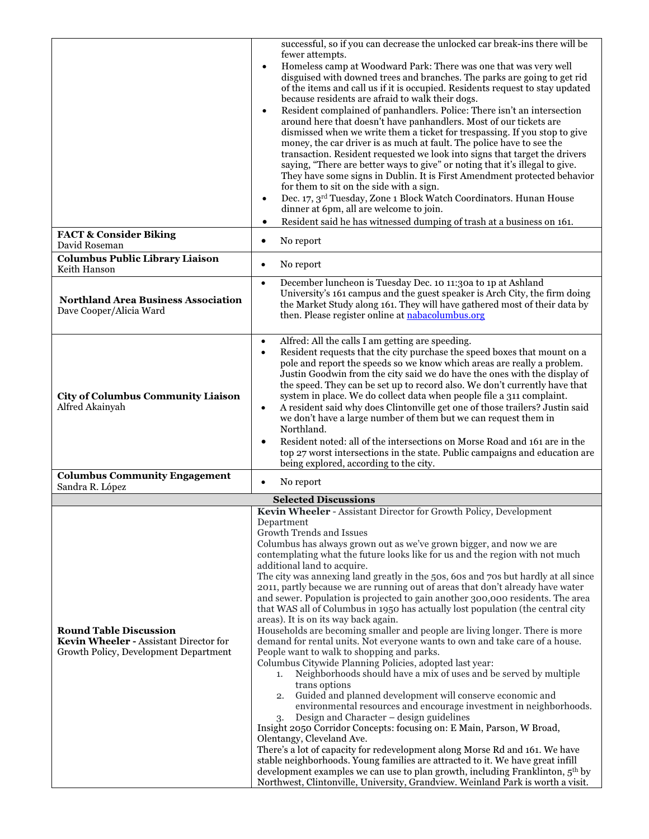|                                                                                                                  | successful, so if you can decrease the unlocked car break-ins there will be                                                                                                                                                                                                                                                                                                                                                                                                                                                                                                                                                                                                                                                                                                                                                                                                                                                                                                                                                                                                                                                                                                                                                                                                                                                                                                                                                                                                                                                                                                                                                                                                                                  |
|------------------------------------------------------------------------------------------------------------------|--------------------------------------------------------------------------------------------------------------------------------------------------------------------------------------------------------------------------------------------------------------------------------------------------------------------------------------------------------------------------------------------------------------------------------------------------------------------------------------------------------------------------------------------------------------------------------------------------------------------------------------------------------------------------------------------------------------------------------------------------------------------------------------------------------------------------------------------------------------------------------------------------------------------------------------------------------------------------------------------------------------------------------------------------------------------------------------------------------------------------------------------------------------------------------------------------------------------------------------------------------------------------------------------------------------------------------------------------------------------------------------------------------------------------------------------------------------------------------------------------------------------------------------------------------------------------------------------------------------------------------------------------------------------------------------------------------------|
|                                                                                                                  | fewer attempts.<br>Homeless camp at Woodward Park: There was one that was very well<br>$\bullet$<br>disguised with downed trees and branches. The parks are going to get rid<br>of the items and call us if it is occupied. Residents request to stay updated<br>because residents are afraid to walk their dogs.<br>Resident complained of panhandlers. Police: There isn't an intersection<br>$\bullet$<br>around here that doesn't have panhandlers. Most of our tickets are<br>dismissed when we write them a ticket for trespassing. If you stop to give<br>money, the car driver is as much at fault. The police have to see the<br>transaction. Resident requested we look into signs that target the drivers<br>saying, "There are better ways to give" or noting that it's illegal to give.<br>They have some signs in Dublin. It is First Amendment protected behavior<br>for them to sit on the side with a sign.<br>Dec. 17, 3rd Tuesday, Zone 1 Block Watch Coordinators. Hunan House<br>$\bullet$<br>dinner at 6pm, all are welcome to join.                                                                                                                                                                                                                                                                                                                                                                                                                                                                                                                                                                                                                                                   |
| <b>FACT &amp; Consider Biking</b><br>David Roseman                                                               | Resident said he has witnessed dumping of trash at a business on 161.<br>$\bullet$<br>No report<br>$\bullet$                                                                                                                                                                                                                                                                                                                                                                                                                                                                                                                                                                                                                                                                                                                                                                                                                                                                                                                                                                                                                                                                                                                                                                                                                                                                                                                                                                                                                                                                                                                                                                                                 |
| Columbus Public Library Liaison<br>Keith Hanson                                                                  | No report<br>$\bullet$                                                                                                                                                                                                                                                                                                                                                                                                                                                                                                                                                                                                                                                                                                                                                                                                                                                                                                                                                                                                                                                                                                                                                                                                                                                                                                                                                                                                                                                                                                                                                                                                                                                                                       |
| Northland Area Business Association<br>Dave Cooper/Alicia Ward                                                   | December luncheon is Tuesday Dec. 10 11:30a to 1p at Ashland<br>$\bullet$<br>University's 161 campus and the guest speaker is Arch City, the firm doing<br>the Market Study along 161. They will have gathered most of their data by<br>then. Please register online at <b>nabacolumbus.org</b>                                                                                                                                                                                                                                                                                                                                                                                                                                                                                                                                                                                                                                                                                                                                                                                                                                                                                                                                                                                                                                                                                                                                                                                                                                                                                                                                                                                                              |
| <b>City of Columbus Community Liaison</b><br>Alfred Akainyah                                                     | Alfred: All the calls I am getting are speeding.<br>$\bullet$<br>Resident requests that the city purchase the speed boxes that mount on a<br>$\bullet$<br>pole and report the speeds so we know which areas are really a problem.<br>Justin Goodwin from the city said we do have the ones with the display of<br>the speed. They can be set up to record also. We don't currently have that<br>system in place. We do collect data when people file a 311 complaint.<br>A resident said why does Clintonville get one of those trailers? Justin said<br>$\bullet$<br>we don't have a large number of them but we can request them in<br>Northland.<br>Resident noted: all of the intersections on Morse Road and 161 are in the<br>top 27 worst intersections in the state. Public campaigns and education are<br>being explored, according to the city.                                                                                                                                                                                                                                                                                                                                                                                                                                                                                                                                                                                                                                                                                                                                                                                                                                                    |
| <b>Columbus Community Engagement</b><br>Sandra R. López                                                          | No report<br>٠                                                                                                                                                                                                                                                                                                                                                                                                                                                                                                                                                                                                                                                                                                                                                                                                                                                                                                                                                                                                                                                                                                                                                                                                                                                                                                                                                                                                                                                                                                                                                                                                                                                                                               |
|                                                                                                                  | <b>Selected Discussions</b>                                                                                                                                                                                                                                                                                                                                                                                                                                                                                                                                                                                                                                                                                                                                                                                                                                                                                                                                                                                                                                                                                                                                                                                                                                                                                                                                                                                                                                                                                                                                                                                                                                                                                  |
| <b>Round Table Discussion</b><br>Kevin Wheeler - Assistant Director for<br>Growth Policy, Development Department | Kevin Wheeler - Assistant Director for Growth Policy, Development<br>Department<br>Growth Trends and Issues<br>Columbus has always grown out as we've grown bigger, and now we are<br>contemplating what the future looks like for us and the region with not much<br>additional land to acquire.<br>The city was annexing land greatly in the 50s, 60s and 70s but hardly at all since<br>2011, partly because we are running out of areas that don't already have water<br>and sewer. Population is projected to gain another 300,000 residents. The area<br>that WAS all of Columbus in 1950 has actually lost population (the central city<br>areas). It is on its way back again.<br>Households are becoming smaller and people are living longer. There is more<br>demand for rental units. Not everyone wants to own and take care of a house.<br>People want to walk to shopping and parks.<br>Columbus Citywide Planning Policies, adopted last year:<br>Neighborhoods should have a mix of uses and be served by multiple<br>1.<br>trans options<br>Guided and planned development will conserve economic and<br>2.<br>environmental resources and encourage investment in neighborhoods.<br>Design and Character – design guidelines<br>3.<br>Insight 2050 Corridor Concepts: focusing on: E Main, Parson, W Broad,<br>Olentangy, Cleveland Ave.<br>There's a lot of capacity for redevelopment along Morse Rd and 161. We have<br>stable neighborhoods. Young families are attracted to it. We have great infill<br>development examples we can use to plan growth, including Franklinton, 5 <sup>th</sup> by<br>Northwest, Clintonville, University, Grandview. Weinland Park is worth a visit. |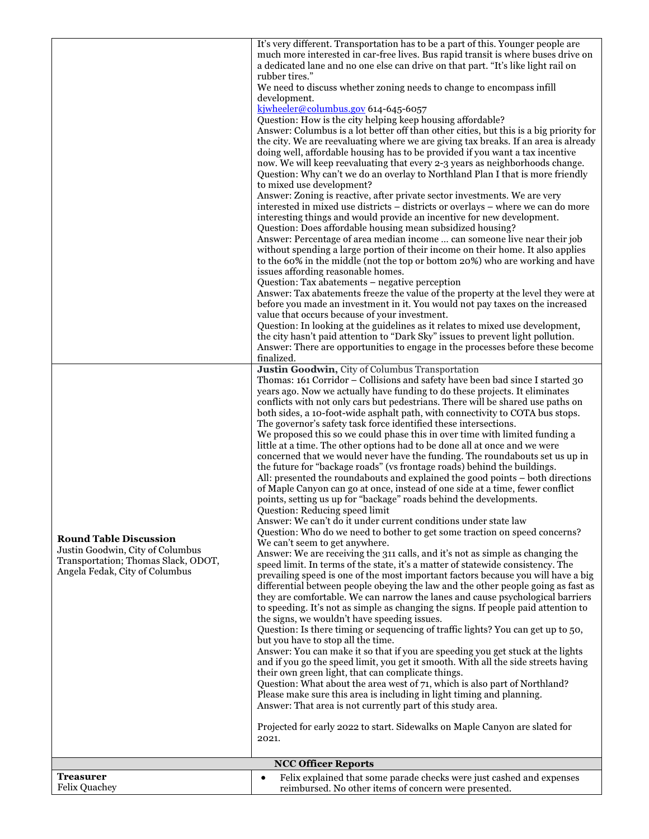|                                     | It's very different. Transportation has to be a part of this. Younger people are                                                                                              |
|-------------------------------------|-------------------------------------------------------------------------------------------------------------------------------------------------------------------------------|
|                                     | much more interested in car-free lives. Bus rapid transit is where buses drive on                                                                                             |
|                                     | a dedicated lane and no one else can drive on that part. "It's like light rail on                                                                                             |
|                                     | rubber tires."                                                                                                                                                                |
|                                     | We need to discuss whether zoning needs to change to encompass infill                                                                                                         |
|                                     | development.                                                                                                                                                                  |
|                                     | kjwheeler@columbus.gov 614-645-6057                                                                                                                                           |
|                                     | Question: How is the city helping keep housing affordable?                                                                                                                    |
|                                     | Answer: Columbus is a lot better off than other cities, but this is a big priority for<br>the city. We are reevaluating where we are giving tax breaks. If an area is already |
|                                     | doing well, affordable housing has to be provided if you want a tax incentive                                                                                                 |
|                                     | now. We will keep reevaluating that every 2-3 years as neighborhoods change.                                                                                                  |
|                                     | Question: Why can't we do an overlay to Northland Plan I that is more friendly                                                                                                |
|                                     | to mixed use development?                                                                                                                                                     |
|                                     | Answer: Zoning is reactive, after private sector investments. We are very                                                                                                     |
|                                     | interested in mixed use districts - districts or overlays - where we can do more                                                                                              |
|                                     | interesting things and would provide an incentive for new development.                                                                                                        |
|                                     | Question: Does affordable housing mean subsidized housing?                                                                                                                    |
|                                     | Answer: Percentage of area median income  can someone live near their job                                                                                                     |
|                                     | without spending a large portion of their income on their home. It also applies                                                                                               |
|                                     | to the 60% in the middle (not the top or bottom 20%) who are working and have                                                                                                 |
|                                     | issues affording reasonable homes.                                                                                                                                            |
|                                     | Question: Tax abatements - negative perception<br>Answer: Tax abatements freeze the value of the property at the level they were at                                           |
|                                     | before you made an investment in it. You would not pay taxes on the increased                                                                                                 |
|                                     | value that occurs because of your investment.                                                                                                                                 |
|                                     | Question: In looking at the guidelines as it relates to mixed use development,                                                                                                |
|                                     | the city hasn't paid attention to "Dark Sky" issues to prevent light pollution.                                                                                               |
|                                     | Answer: There are opportunities to engage in the processes before these become                                                                                                |
|                                     | finalized.                                                                                                                                                                    |
|                                     | Justin Goodwin, City of Columbus Transportation                                                                                                                               |
|                                     | Thomas: 161 Corridor - Collisions and safety have been bad since I started 30                                                                                                 |
|                                     | years ago. Now we actually have funding to do these projects. It eliminates                                                                                                   |
|                                     | conflicts with not only cars but pedestrians. There will be shared use paths on                                                                                               |
|                                     | both sides, a 10-foot-wide asphalt path, with connectivity to COTA bus stops.<br>The governor's safety task force identified these intersections.                             |
|                                     | We proposed this so we could phase this in over time with limited funding a                                                                                                   |
|                                     | little at a time. The other options had to be done all at once and we were                                                                                                    |
|                                     | concerned that we would never have the funding. The roundabouts set us up in                                                                                                  |
|                                     | the future for "backage roads" (vs frontage roads) behind the buildings.                                                                                                      |
|                                     | All: presented the roundabouts and explained the good points – both directions                                                                                                |
|                                     | of Maple Canyon can go at once, instead of one side at a time, fewer conflict                                                                                                 |
|                                     | points, setting us up for "backage" roads behind the developments.                                                                                                            |
|                                     | Question: Reducing speed limit                                                                                                                                                |
|                                     | Answer: We can't do it under current conditions under state law                                                                                                               |
| <b>Round Table Discussion</b>       | Question: Who do we need to bother to get some traction on speed concerns?                                                                                                    |
| Justin Goodwin, City of Columbus    | We can't seem to get anywhere.<br>Answer: We are receiving the 311 calls, and it's not as simple as changing the                                                              |
| Transportation; Thomas Slack, ODOT, | speed limit. In terms of the state, it's a matter of statewide consistency. The                                                                                               |
| Angela Fedak, City of Columbus      | prevailing speed is one of the most important factors because you will have a big                                                                                             |
|                                     | differential between people obeying the law and the other people going as fast as                                                                                             |
|                                     | they are comfortable. We can narrow the lanes and cause psychological barriers                                                                                                |
|                                     | to speeding. It's not as simple as changing the signs. If people paid attention to                                                                                            |
|                                     | the signs, we wouldn't have speeding issues.                                                                                                                                  |
|                                     | Question: Is there timing or sequencing of traffic lights? You can get up to 50,                                                                                              |
|                                     | but you have to stop all the time.                                                                                                                                            |
|                                     | Answer: You can make it so that if you are speeding you get stuck at the lights                                                                                               |
|                                     | and if you go the speed limit, you get it smooth. With all the side streets having<br>their own green light, that can complicate things.                                      |
|                                     | Question: What about the area west of 71, which is also part of Northland?                                                                                                    |
|                                     | Please make sure this area is including in light timing and planning.                                                                                                         |
|                                     | Answer: That area is not currently part of this study area.                                                                                                                   |
|                                     |                                                                                                                                                                               |
|                                     | Projected for early 2022 to start. Sidewalks on Maple Canyon are slated for                                                                                                   |
|                                     | 2021.                                                                                                                                                                         |
|                                     |                                                                                                                                                                               |
|                                     | <b>NCC Officer Reports</b>                                                                                                                                                    |
| <b>Treasurer</b>                    | Felix explained that some parade checks were just cashed and expenses<br>$\bullet$                                                                                            |
| <b>Felix Quachey</b>                | reimbursed. No other items of concern were presented.                                                                                                                         |